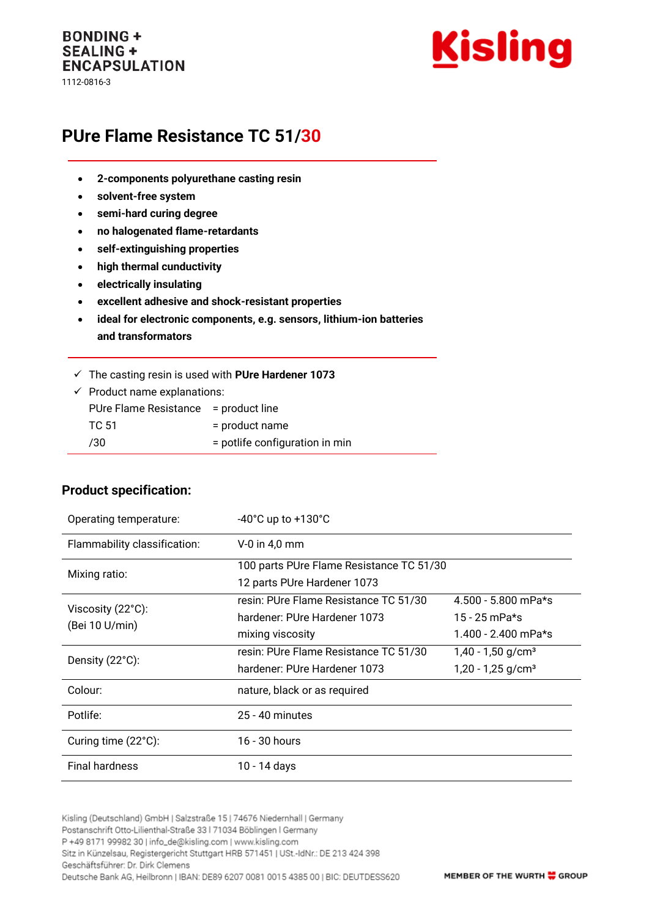#### **BONDING + SEALING + ENCAPSULATION** 1112-0816-3



# **PUre Flame Resistance TC 51/30**

- **2-components polyurethane casting resin**
- **solvent-free system**
- **semi-hard curing degree**
- **no halogenated flame-retardants**
- **self-extinguishing properties**
- **high thermal cunductivity**
- **electrically insulating**
- **excellent adhesive and shock-resistant properties**
- **ideal for electronic components, e.g. sensors, lithium-ion batteries and transformators**
- ✓ The casting resin is used with **PUre Hardener 1073**

| $\checkmark$ Product name explanations: |                                |  |
|-----------------------------------------|--------------------------------|--|
| PUre Flame Resistance = product line    |                                |  |
| TC 51                                   | = product name                 |  |
| 730                                     | = potlife configuration in min |  |
|                                         |                                |  |

#### **Product specification:**

| Operating temperature:              | $-40^{\circ}$ C up to $+130^{\circ}$ C   |                                 |
|-------------------------------------|------------------------------------------|---------------------------------|
| Flammability classification:        | $V-0$ in 4,0 mm                          |                                 |
| Mixing ratio:                       | 100 parts PUre Flame Resistance TC 51/30 |                                 |
|                                     | 12 parts PUre Hardener 1073              |                                 |
| Viscosity (22°C):<br>(Bei 10 U/min) | resin: PUre Flame Resistance TC 51/30    | 4.500 - 5.800 mPa*s             |
|                                     | hardener: PUre Hardener 1073             | 15 - 25 mPa*s                   |
|                                     | mixing viscosity                         | 1.400 - 2.400 mPa*s             |
| Density (22°C):                     | resin: PUre Flame Resistance TC 51/30    | $1,40 - 1,50$ g/cm <sup>3</sup> |
|                                     | hardener: PUre Hardener 1073             | $1,20 - 1,25$ g/cm <sup>3</sup> |
| Colour:                             | nature, black or as required             |                                 |
| Potlife:                            | 25 - 40 minutes                          |                                 |
| Curing time (22°C):                 | 16 - 30 hours                            |                                 |
| <b>Final hardness</b>               | 10 - 14 days                             |                                 |

Kisling (Deutschland) GmbH | Salzstraße 15 | 74676 Niedernhall | Germany Postanschrift Otto-Lilienthal-Straße 33 | 71034 Böblingen | Germany P +49 8171 99982 30 | info\_de@kisling.com | www.kisling.com Sitz in Künzelsau, Registergericht Stuttgart HRB 571451 | USt.-IdNr.: DE 213 424 398 Geschäftsführer: Dr. Dirk Clemens Deutsche Bank AG, Heilbronn | IBAN: DE89 6207 0081 0015 4385 00 | BIC: DEUTDESS620